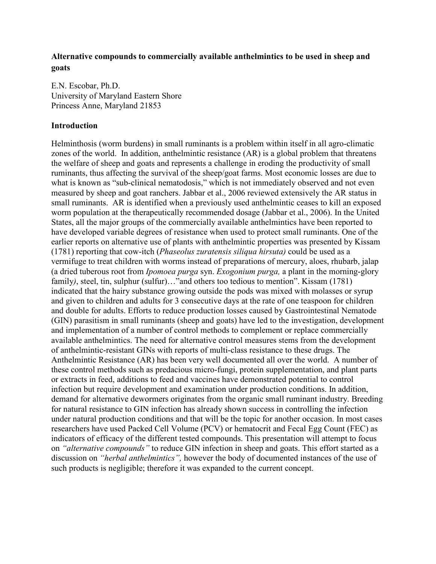# **Alternative compounds to commercially available anthelmintics to be used in sheep and goats**

E.N. Escobar, Ph.D. University of Maryland Eastern Shore Princess Anne, Maryland 21853

## **Introduction**

Helminthosis (worm burdens) in small ruminants is a problem within itself in all agro-climatic zones of the world. In addition, anthelmintic resistance (AR) is a global problem that threatens the welfare of sheep and goats and represents a challenge in eroding the productivity of small ruminants, thus affecting the survival of the sheep/goat farms. Most economic losses are due to what is known as "sub-clinical nematodosis," which is not immediately observed and not even measured by sheep and goat ranchers. Jabbar et al., 2006 reviewed extensively the AR status in small ruminants. AR is identified when a previously used anthelmintic ceases to kill an exposed worm population at the therapeutically recommended dosage (Jabbar et al., 2006). In the United States, all the major groups of the commercially available anthelmintics have been reported to have developed variable degrees of resistance when used to protect small ruminants. One of the earlier reports on alternative use of plants with anthelmintic properties was presented by Kissam (1781) reporting that cow-itch (*Phaseolus zuratensis siliqua hirsuta)* could be used as a vermifuge to treat children with worms instead of preparations of mercury, aloes, rhubarb, jalap (a dried tuberous root from *Ipomoea purga* syn. *Exogonium purga,* a plant in the morning-glory family), steel, tin, sulphur (sulfur)..."and others too tedious to mention". Kissam (1781) indicated that the hairy substance growing outside the pods was mixed with molasses or syrup and given to children and adults for 3 consecutive days at the rate of one teaspoon for children and double for adults. Efforts to reduce production losses caused by Gastrointestinal Nematode (GIN) parasitism in small ruminants (sheep and goats) have led to the investigation, development and implementation of a number of control methods to complement or replace commercially available anthelmintics. The need for alternative control measures stems from the development of anthelmintic-resistant GINs with reports of multi-class resistance to these drugs. The Anthelmintic Resistance (AR) has been very well documented all over the world. A number of these control methods such as predacious micro-fungi, protein supplementation, and plant parts or extracts in feed, additions to feed and vaccines have demonstrated potential to control infection but require development and examination under production conditions. In addition, demand for alternative dewormers originates from the organic small ruminant industry. Breeding for natural resistance to GIN infection has already shown success in controlling the infection under natural production conditions and that will be the topic for another occasion. In most cases researchers have used Packed Cell Volume (PCV) or hematocrit and Fecal Egg Count (FEC) as indicators of efficacy of the different tested compounds. This presentation will attempt to focus on *"alternative compounds"* to reduce GIN infection in sheep and goats. This effort started as a discussion on *"herbal anthelmintics",* however the body of documented instances of the use of such products is negligible; therefore it was expanded to the current concept.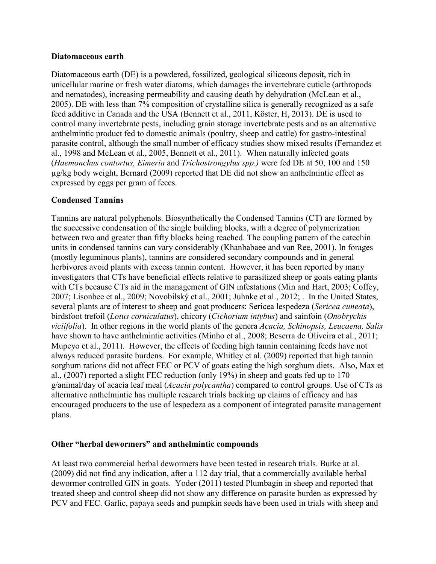#### **Diatomaceous earth**

Diatomaceous earth (DE) is a powdered, fossilized, geological siliceous deposit, rich in unicellular marine or fresh water diatoms, which damages the invertebrate cuticle (arthropods and nematodes), increasing permeability and causing death by dehydration (McLean et al., 2005). DE with less than 7% composition of crystalline silica is generally recognized as a safe feed additive in Canada and the USA (Bennett et al., 2011, Köster, H, 2013). DE is used to control many invertebrate pests, including grain storage invertebrate pests and as an alternative anthelmintic product fed to domestic animals (poultry, sheep and cattle) for gastro-intestinal parasite control, although the small number of efficacy studies show mixed results (Fernandez et al., 1998 and McLean et al., 2005, Bennett et al., 2011). When naturally infected goats (*Haemonchus contortus, Eimeria* and *Trichostrongylus spp*.*)* were fed DE at 50, 100 and 150 µg/kg body weight, Bernard (2009) reported that DE did not show an anthelmintic effect as expressed by eggs per gram of feces.

## **Condensed Tannins**

Tannins are natural polyphenols. Biosynthetically the Condensed Tannins (CT) are formed by the successive condensation of the single building blocks, with a degree of polymerization between two and greater than fifty blocks being reached. The coupling pattern of the catechin units in condensed tannins can vary considerably (Khanbabaee and van Ree, 2001). In forages (mostly leguminous plants), tannins are considered secondary compounds and in general herbivores avoid plants with excess tannin content. However, it has been reported by many investigators that CTs have beneficial effects relative to parasitized sheep or goats eating plants with CTs because CTs aid in the management of GIN infestations (Min and Hart, 2003; Coffey, 2007; Lisonbee et al., 2009; Novobilský et al., 2001; Juhnke et al., 2012; . In the United States, several plants are of interest to sheep and goat producers: Sericea lespedeza (*Sericea cuneata*), birdsfoot trefoil (*Lotus corniculatus*), chicory (*Cichorium intybus*) and sainfoin (*Onobrychis viciifolia*). In other regions in the world plants of the genera *Acacia, Schinopsis, Leucaena, Salix* have shown to have anthelmintic activities (Minho et al., 2008; Beserra de Oliveira et al., 2011; Mupeyo et al., 2011). However, the effects of feeding high tannin containing feeds have not always reduced parasite burdens. For example, Whitley et al. (2009) reported that high tannin sorghum rations did not affect FEC or PCV of goats eating the high sorghum diets. Also, Max et al., (2007) reported a slight FEC reduction (only 19%) in sheep and goats fed up to 170 g/animal/day of acacia leaf meal (*Acacia polycantha*) compared to control groups. Use of CTs as alternative anthelmintic has multiple research trials backing up claims of efficacy and has encouraged producers to the use of lespedeza as a component of integrated parasite management plans.

#### **Other "herbal dewormers" and anthelmintic compounds**

At least two commercial herbal dewormers have been tested in research trials. Burke at al. (2009) did not find any indication, after a 112 day trial, that a commercially available herbal dewormer controlled GIN in goats. Yoder (2011) tested Plumbagin in sheep and reported that treated sheep and control sheep did not show any difference on parasite burden as expressed by PCV and FEC. Garlic, papaya seeds and pumpkin seeds have been used in trials with sheep and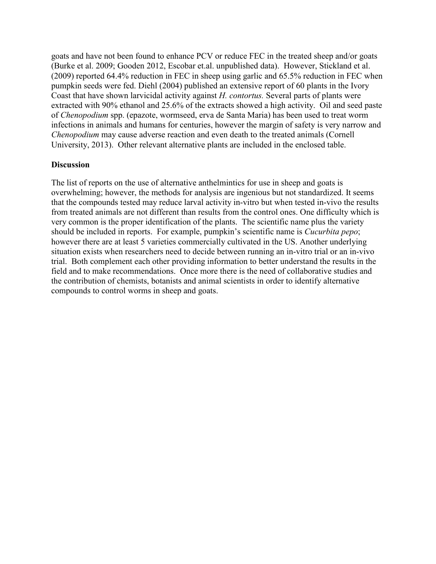goats and have not been found to enhance PCV or reduce FEC in the treated sheep and/or goats (Burke et al. 2009; Gooden 2012, Escobar et.al. unpublished data). However, Stickland et al. (2009) reported 64.4% reduction in FEC in sheep using garlic and 65.5% reduction in FEC when pumpkin seeds were fed. Diehl (2004) published an extensive report of 60 plants in the Ivory Coast that have shown larvicidal activity against *H. contortus.* Several parts of plants were extracted with 90% ethanol and 25.6% of the extracts showed a high activity. Oil and seed paste of *Chenopodium* spp. (epazote, wormseed, erva de Santa Maria) has been used to treat worm infections in animals and humans for centuries, however the margin of safety is very narrow and *Chenopodium* may cause adverse reaction and even death to the treated animals (Cornell University, 2013). Other relevant alternative plants are included in the enclosed table.

## **Discussion**

The list of reports on the use of alternative anthelmintics for use in sheep and goats is overwhelming; however, the methods for analysis are ingenious but not standardized. It seems that the compounds tested may reduce larval activity in-vitro but when tested in-vivo the results from treated animals are not different than results from the control ones. One difficulty which is very common is the proper identification of the plants. The scientific name plus the variety should be included in reports. For example, pumpkin's scientific name is *Cucurbita pepo*; however there are at least 5 varieties commercially cultivated in the US. Another underlying situation exists when researchers need to decide between running an in-vitro trial or an in-vivo trial. Both complement each other providing information to better understand the results in the field and to make recommendations. Once more there is the need of collaborative studies and the contribution of chemists, botanists and animal scientists in order to identify alternative compounds to control worms in sheep and goats.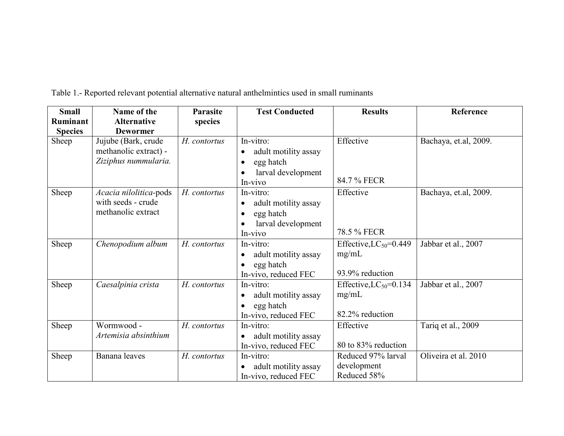| <b>Small</b><br><b>Ruminant</b><br><b>Species</b> | Name of the<br><b>Alternative</b><br><b>Dewormer</b>                 | <b>Parasite</b><br>species | <b>Test Conducted</b>                                                                        | <b>Results</b>                                          | Reference             |
|---------------------------------------------------|----------------------------------------------------------------------|----------------------------|----------------------------------------------------------------------------------------------|---------------------------------------------------------|-----------------------|
| Sheep                                             | Jujube (Bark, crude<br>methanolic extract) -<br>Ziziphus nummularia. | H. contortus               | In-vitro:<br>adult motility assay<br>$\bullet$<br>egg hatch<br>larval development<br>In-vivo | Effective<br>84.7 % FECR                                | Bachaya, et.al, 2009. |
| Sheep                                             | Acacia nilolitica-pods<br>with seeds - crude<br>methanolic extract   | H. contortus               | In-vitro:<br>adult motility assay<br>$\bullet$<br>egg hatch<br>larval development<br>In-vivo | Effective<br>78.5 % FECR                                | Bachaya, et.al, 2009. |
| Sheep                                             | Chenopodium album                                                    | H. contortus               | In-vitro:<br>adult motility assay<br>egg hatch<br>In-vivo, reduced FEC                       | Effective, $LC_{50}$ =0.449<br>mg/mL<br>93.9% reduction | Jabbar et al., 2007   |
| Sheep                                             | Caesalpinia crista                                                   | H. contortus               | In-vitro:<br>adult motility assay<br>egg hatch<br>In-vivo, reduced FEC                       | Effective, $LC_{50}$ =0.134<br>mg/mL<br>82.2% reduction | Jabbar et al., 2007   |
| Sheep                                             | Wormwood -<br>Artemisia absinthium                                   | H. contortus               | In-vitro:<br>adult motility assay<br>In-vivo, reduced FEC                                    | Effective<br>80 to 83% reduction                        | Tariq et al., 2009    |
| Sheep                                             | Banana leaves                                                        | H. contortus               | In-vitro:<br>adult motility assay<br>In-vivo, reduced FEC                                    | Reduced 97% larval<br>development<br>Reduced 58%        | Oliveira et al. 2010  |

Table 1.- Reported relevant potential alternative natural anthelmintics used in small ruminants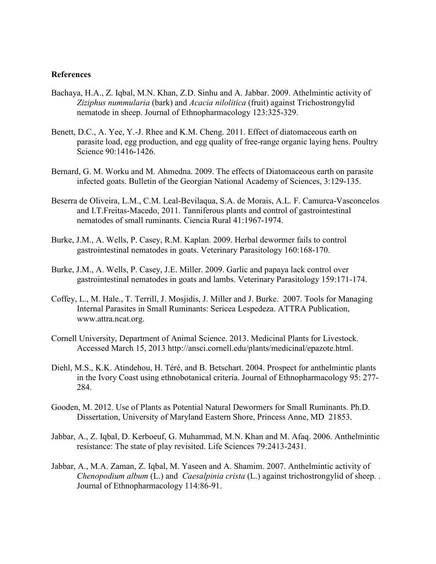#### **References**

- Bachaya, H.A., Z. Iqbal, M.N. Khan, Z.D. Sinhu and A. Jabbar. 2009. Athelmintic activity of *Ziziphus nummularia* (bark) and *Acacia nilolitica* (fruit) against Trichostrongylid nematode in sheep. Journal of Ethnopharmacology 123:325-329.
- Benett, D.C., A. Yee, Y.-J. Rhee and K.M. Cheng. 2011. Effect of diatomaceous earth on parasite load, egg production, and egg quality of free-range organic laying hens. Poultry Science 90:1416-1426.
- Bernard, G. M. Worku and M. Ahmedna. 2009. The effects of Diatomaceous earth on parasite infected goats. Bulletin of the Georgian National Academy of Sciences, 3:129-135.
- Beserra de Oliveira, L.M., C.M. Leal-Bevilaqua, S.A. de Morais, A.L. F. Camurca-Vasconcelos and I.T.Freitas-Macedo, 2011. Tanniferous plants and control of gastrointestinal nematodes of small ruminants. Ciencia Rural 41:1967-1974.
- Burke, J.M., A. Wells, P. Casey, R.M. Kaplan. 2009. Herbal dewormer fails to control gastrointestinal nematodes in goats. Veterinary Parasitology 160:168-170.
- Burke, J.M., A. Wells, P. Casey, J.E. Miller. 2009. Garlic and papaya lack control over gastrointestinal nematodes in goats and lambs. Veterinary Parasitology 159:171-174.
- Coffey, L., M. Hale., T. Terrill, J. Mosjidis, J. Miller and J. Burke. 2007. Tools for Managing Internal Parasites in Small Ruminants: Sericea Lespedeza. ATTRA Publication, www.attra.ncat.org.
- Cornell University, Department of Animal Science. 2013. Medicinal Plants for Livestock. Accessed March 15, 2013 http://ansci.cornell.edu/plants/medicinal/epazote.html.
- Diehl, M.S., K.K. Atindehou, H. Téré, and B. Betschart. 2004. Prospect for anthelmintic plants in the Ivory Coast using ethnobotanical criteria. Journal of Ethnopharmacology 95: 277- 284.
- Gooden, M. 2012. Use of Plants as Potential Natural Dewormers for Small Ruminants. Ph.D. Dissertation, University of Maryland Eastern Shore, Princess Anne, MD 21853.
- Jabbar, A., Z. Iqbal, D. Kerboeuf, G. Muhammad, M.N. Khan and M. Afaq. 2006. Anthelmintic resistance: The state of play revisited. Life Sciences 79:2413-2431.
- Jabbar, A., M.A. Zaman, Z. Iqbal, M. Yaseen and A. Shamim. 2007. Anthelmintic activity of *Chenopodium album* (L.) and *Caesalpinia crista* (L.) against trichostrongylid of sheep. . Journal of Ethnopharmacology 114:86-91.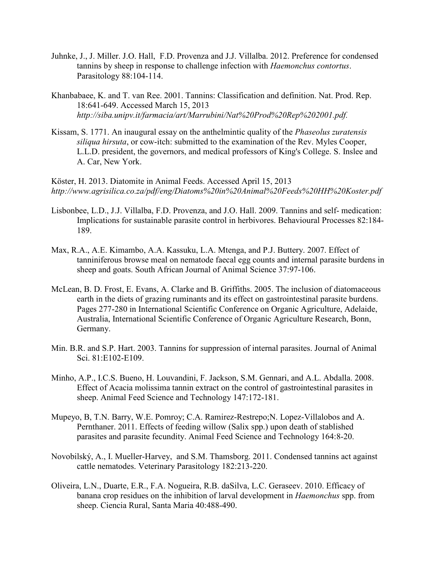- Juhnke, J., J. Miller. J.O. Hall, F.D. Provenza and J.J. Villalba. 2012. Preference for condensed tannins by sheep in response to challenge infection with *Haemonchus contortus*. Parasitology 88:104-114.
- Khanbabaee, K. and T. van Ree. 2001. Tannins: Classification and definition. Nat. Prod. Rep. 18:641-649. Accessed March 15, 2013 *http://siba.unipv.it/farmacia/art/Marrubini/Nat%20Prod%20Rep%202001.pdf.*
- Kissam, S. 1771. An inaugural essay on the anthelmintic quality of the *Phaseolus zuratensis siliqua hirsuta*, or cow-itch: submitted to the examination of the Rev. Myles Cooper, L.L.D. president, the governors, and medical professors of King's College. S. Inslee and A. Car, New York.

Köster, H. 2013. Diatomite in Animal Feeds. Accessed April 15, 2013 *http://www.agrisilica.co.za/pdf/eng/Diatoms%20in%20Animal%20Feeds%20HH%20Koster.pdf*

- Lisbonbee, L.D., J.J. Villalba, F.D. Provenza, and J.O. Hall. 2009. Tannins and self- medication: Implications for sustainable parasite control in herbivores. Behavioural Processes 82:184- 189.
- Max, R.A., A.E. Kimambo, A.A. Kassuku, L.A. Mtenga, and P.J. Buttery. 2007. Effect of tanniniferous browse meal on nematode faecal egg counts and internal parasite burdens in sheep and goats. South African Journal of Animal Science 37:97-106.
- McLean, B. D. Frost, E. Evans, A. Clarke and B. Griffiths. 2005. The inclusion of diatomaceous earth in the diets of grazing ruminants and its effect on gastrointestinal parasite burdens. Pages 277-280 in International Scientific Conference on Organic Agriculture, Adelaide, Australia, International Scientific Conference of Organic Agriculture Research, Bonn, Germany.
- Min. B.R. and S.P. Hart. 2003. Tannins for suppression of internal parasites. Journal of Animal Sci. 81:E102-E109.
- Minho, A.P., I.C.S. Bueno, H. Louvandini, F. Jackson, S.M. Gennari, and A.L. Abdalla. 2008. Effect of Acacia molissima tannin extract on the control of gastrointestinal parasites in sheep. Animal Feed Science and Technology 147:172-181.
- Mupeyo, B, T.N. Barry, W.E. Pomroy; C.A. Ramirez-Restrepo;N. Lopez-Villalobos and A. Pernthaner. 2011. Effects of feeding willow (Salix spp.) upon death of stablished parasites and parasite fecundity. Animal Feed Science and Technology 164:8-20.
- Novobilský, A., I. Mueller-Harvey, and S.M. Thamsborg. 2011. Condensed tannins act against cattle nematodes. Veterinary Parasitology 182:213-220.
- Oliveira, L.N., Duarte, E.R., F.A. Nogueira, R.B. daSilva, L.C. Geraseev. 2010. Efficacy of banana crop residues on the inhibition of larval development in *Haemonchus* spp. from sheep. Ciencia Rural, Santa Maria 40:488-490.